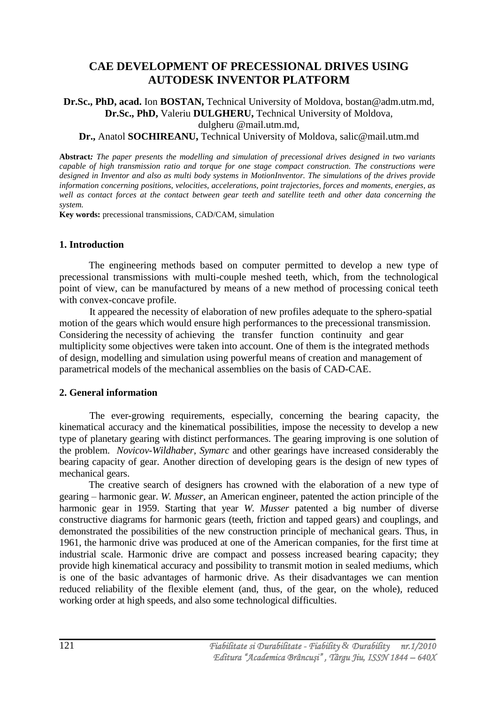# **[CAE DEVELOPMENT OF PRECESSIONAL DRIVES USING](http://www.modtech.ro/files/abstract/TMCR_2009_Dulgheru.doc)  [AUTODESK INVENTOR PLATFORM](http://www.modtech.ro/files/abstract/TMCR_2009_Dulgheru.doc)**

**Dr.Sc., PhD, acad.** Ion **BOSTAN,** Technical University of Moldova, bostan@adm.utm.md, **Dr.Sc., PhD,** Valeriu **DULGHERU,** Technical University of Moldova, dulgheru @mail.utm.md,

#### **Dr.,** Anatol **SOCHIREANU,** Technical University of Moldova, salic@mail.utm.md

**Abstract***: The paper presents the modelling and simulation of precessional drives designed in two variants capable of high transmission ratio and torque for one stage compact construction. The constructions were designed in Inventor and also as multi body systems in MotionInventor. The simulations of the drives provide information concerning positions, velocities, accelerations, point trajectories, forces and moments, energies, as well as contact forces at the contact between gear teeth and satellite teeth and other data concerning the system.*

**Key words:** precessional transmissions, CAD/CAM, simulation

# **1. Introduction**

The engineering methods based on computer permitted to develop a new type of precessional transmissions with multi-couple meshed teeth, which, from the technological point of view, can be manufactured by means of a new method of processing conical teeth with convex-concave profile.

It appeared the necessity of elaboration of new profiles adequate to the sphero-spatial motion of the gears which would ensure high performances to the precessional transmission. Considering the necessity of achieving the transfer function continuity and gear multiplicity some objectives were taken into account. One of them is the integrated methods of design, modelling and simulation using powerful means of creation and management of parametrical models of the mechanical assemblies on the basis of CAD-CAE.

# **2. General information**

The ever-growing requirements, especially, concerning the bearing capacity, the kinematical accuracy and the kinematical possibilities, impose the necessity to develop a new type of planetary gearing with distinct performances. The gearing improving is one solution of the problem. *Novicov-Wildhaber, Symarc* and other gearings have increased considerably the bearing capacity of gear. Another direction of developing gears is the design of new types of mechanical gears.

The creative search of designers has crowned with the elaboration of a new type of gearing – harmonic gear. *W. Musser,* an American engineer, patented the action principle of the harmonic gear in 1959. Starting that year *W. Musser* patented a big number of diverse constructive diagrams for harmonic gears (teeth, friction and tapped gears) and couplings, and demonstrated the possibilities of the new construction principle of mechanical gears. Thus, in 1961, the harmonic drive was produced at one of the American companies, for the first time at industrial scale. Harmonic drive are compact and possess increased bearing capacity; they provide high kinematical accuracy and possibility to transmit motion in sealed mediums, which is one of the basic advantages of harmonic drive. As their disadvantages we can mention reduced reliability of the flexible element (and, thus, of the gear, on the whole), reduced working order at high speeds, and also some technological difficulties.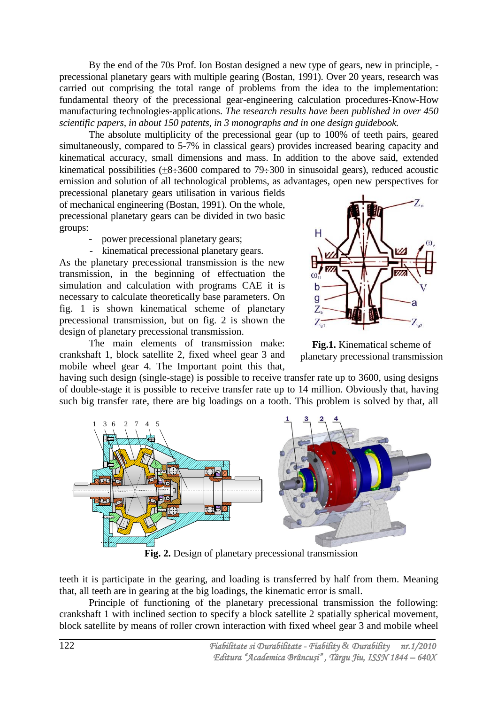By the end of the 70s Prof. Ion Bostan designed a new type of gears, new in principle, precessional planetary gears with multiple gearing (Bostan, 1991). Over 20 years, research was carried out comprising the total range of problems from the idea to the implementation: fundamental theory of the precessional gear-engineering calculation procedures-Know-How manufacturing technologies-applications. *The* r*esearch results have been published in over 450 scientific papers, in about 150 patents, in 3 monographs and in one design guidebook.*

The absolute multiplicity of the precessional gear (up to 100% of teeth pairs, geared simultaneously, compared to 5-7% in classical gears) provides increased bearing capacity and kinematical accuracy, small dimensions and mass. In addition to the above said, extended kinematical possibilities  $(\pm 8 \div 3600$  compared to 79 $\div 300$  in sinusoidal gears), reduced acoustic emission and solution of all technological problems, as advantages, open new perspectives for

precessional planetary gears utilisation in various fields of mechanical engineering (Bostan, 1991). On the whole, precessional planetary gears can be divided in two basic groups:

- power precessional planetary gears;

- kinematical precessional planetary gears. As the planetary precessional transmission is the new transmission, in the beginning of effectuation the simulation and calculation with programs CAE it is necessary to calculate theoretically base parameters. On fig. 1 is shown kinematical scheme of planetary precessional transmission, but on fig. 2 is shown the design of planetary precessional transmission.



The main elements of transmission make: crankshaft 1, block satellite 2, fixed wheel gear 3 and mobile wheel gear 4. The Important point this that,

**Fig.1.** Kinematical scheme of planetary precessional transmission

having such design (single-stage) is possible to receive transfer rate up to 3600, using designs of double-stage it is possible to receive transfer rate up to 14 million. Obviously that, having such big transfer rate, there are big loadings on a tooth. This problem is solved by that, all



**Fig. 2.** Design of planetary precessional transmission

teeth it is participate in the gearing, and loading is transferred by half from them. Meaning that, all teeth are in gearing at the big loadings, the kinematic error is small.

Principle of functioning of the planetary precessional transmission the following: crankshaft 1 with inclined section to specify a block satellite 2 spatially spherical movement, block satellite by means of roller crown interaction with fixed wheel gear 3 and mobile wheel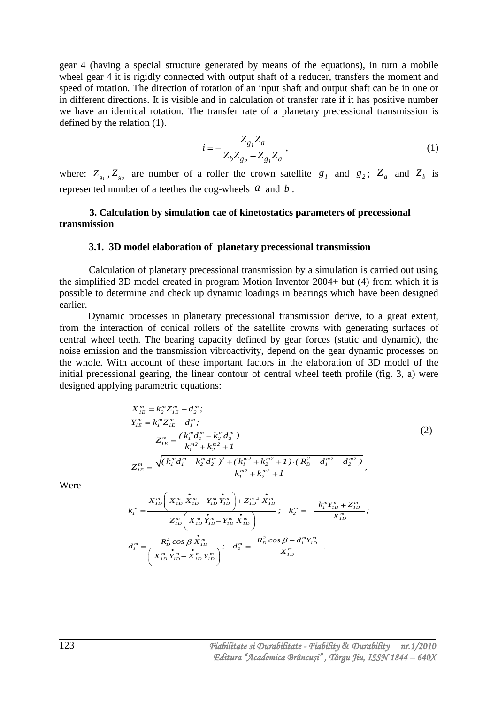gear 4 (having a special structure generated by means of the equations), in turn a mobile wheel gear 4 it is rigidly connected with output shaft of a reducer, transfers the moment and speed of rotation. The direction of rotation of an input shaft and output shaft can be in one or in different directions. It is visible and in calculation of transfer rate if it has positive number we have an identical rotation. The transfer rate of a planetary precessional transmission is defined by the relation (1).

$$
i = -\frac{Z_{g_1} Z_a}{Z_b Z_{g_2} - Z_{g_1} Z_a},
$$
\n(1)

where:  $Z_{g_1}$ ,  $Z_{g_2}$  are number of a roller the crown satellite  $g_1$  and  $g_2$ ;  $Z_a$  and  $Z_b$  is represented number of a teethes the cog-wheels  $a$  and  $b$ .

#### **3. Calculation by simulation cae of kinetostatics parameters of precessional transmission**

#### **3.1. 3D model elaboration of planetary precessional transmission**

Calculation of planetary precessional transmission by a simulation is carried out using the simplified 3D model created in program Motion Inventor 2004+ but (4) from which it is possible to determine and check up dynamic loadings in bearings which have been designed earlier.

 Dynamic processes in planetary precessional transmission derive, to a great extent, from the interaction of conical rollers of the satellite crowns with generating surfaces of central wheel teeth. The bearing capacity defined by gear forces (static and dynamic), the noise emission and the transmission vibroactivity, depend on the gear dynamic processes on the whole. With account of these important factors in the elaboration of 3D model of the initial precessional gearing, the linear contour of central wheel teeth profile (fig. 3, a) were designed applying parametric equations:<br> $X_{IE}^m = k_2^m Z_{IE}^m + d_2^m$ ;

$$
X_{IE}^{m} = k_{2}^{m} Z_{IE}^{m} + d_{2}^{m};
$$
\n
$$
Y_{IE}^{m} = k_{I}^{m} Z_{IE}^{m} - d_{I}^{m};
$$
\n
$$
Z_{IE}^{m} = \frac{(k_{I}^{m} d_{I}^{m} - k_{2}^{m} d_{2}^{m})}{k_{I}^{m^{2}} + k_{2}^{m^{2}} + I}
$$
\n
$$
Z_{IE}^{m} = \frac{\sqrt{(k_{I}^{m} d_{I}^{m} - k_{2}^{m} d_{2}^{m})^{2} + (k_{I}^{m^{2}} + k_{2}^{m^{2}} + I) \cdot (R_{D}^{2} - d_{I}^{m^{2}} - d_{2}^{m^{2}})}{k_{I}^{m^{2}} + k_{2}^{m^{2}} + I},
$$
\n(2)

Were

$$
k_1^{m2} + k_2^{m2} + I
$$
\n
$$
k_1^{m} = \frac{X_{ID}^{m} \left( X_{ID}^{m} \mathbf{\dot{X}}_{ID}^{m} + Y_{ID}^{m} \mathbf{\dot{Y}}_{ID}^{m} \right) + Z_{ID}^{m2} \mathbf{\dot{X}}_{ID}^{m}}{Z_{ID}^{m} \left( X_{ID}^{m} \mathbf{\dot{Y}}_{ID}^{m} - Y_{ID}^{m} \mathbf{\dot{X}}_{ID}^{m} \right)}; \quad k_2^{m} = -\frac{k_1^{m} Y_{ID}^{m} + Z_{ID}^{m}}{X_{ID}^{m}};
$$
\n
$$
d_1^{m} = \frac{R_D^2 \cos \beta \mathbf{\dot{X}}_{ID}^{m}}{\left( X_{ID}^{m} \mathbf{\dot{Y}}_{ID}^{m} - \mathbf{\dot{X}}_{ID}^{m} Y_{ID}^{m} \right)}; \quad d_2^{m} = \frac{R_D^2 \cos \beta + d_1^{m} Y_{ID}^{m}}{X_{ID}^{m}}.
$$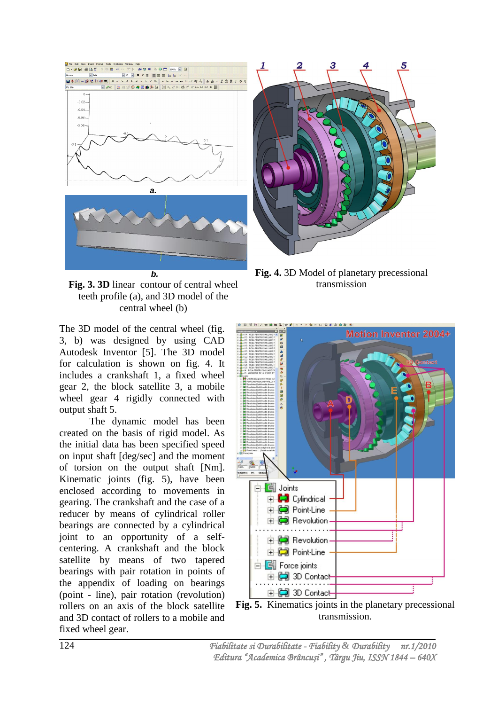



**Fig. 3. 3D** linear contour of central wheel teeth profile (a), and 3D model of the central wheel (b)

The 3D model of the central wheel (fig. 3, b) was designed by using CAD Autodesk Inventor [5]. The 3D model for calculation is shown on fig. 4. It includes a crankshaft 1, a fixed wheel gear 2, the block satellite 3, a mobile wheel gear 4 rigidly connected with output shaft 5.

The dynamic model has been created on the basis of rigid model. As the initial data has been specified speed on input shaft [deg/sec] and the moment of torsion on the output shaft [Nm]. Kinematic joints (fig. 5), have been enclosed according to movements in gearing. The crankshaft and the case of a reducer by means of cylindrical roller bearings are connected by a cylindrical joint to an opportunity of a selfcentering. A crankshaft and the block satellite by means of two tapered bearings with pair rotation in points of the appendix of loading on bearings (point - line), pair rotation (revolution) rollers on an axis of the block satellite and 3D contact of rollers to a mobile and fixed wheel gear.

**Fig. 4.** 3D Model of planetary precessional transmission



**Fig. 5.** Kinematics joints in the planetary precessional transmission.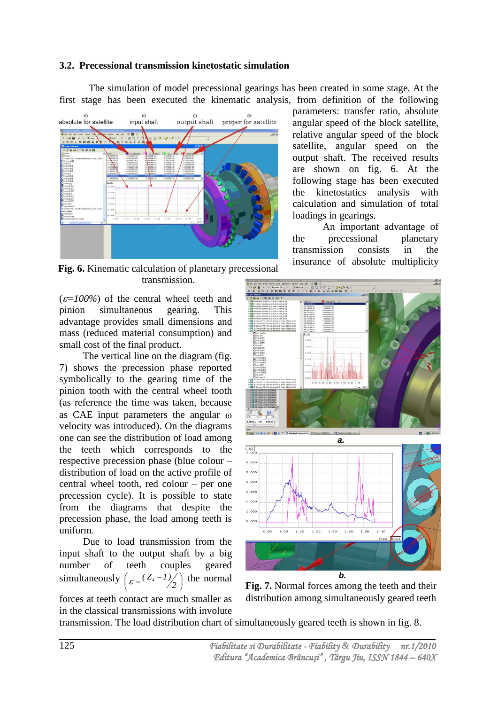# **3.2. Precessional transmission kinetostatic simulation**

The simulation of model precessional gearings has been created in some stage. At the first stage has been executed the kinematic analysis, from definition of the following



**Fig. 6.** Kinematic calculation of planetary precessional transmission.

 $(\varepsilon=100\%)$  of the central wheel teeth and pinion simultaneous gearing. This advantage provides small dimensions and mass (reduced material consumption) and small cost of the final product.

The vertical line on the diagram (fig. 7) shows the precession phase reported symbolically to the gearing time of the pinion tooth with the central wheel tooth (as reference the time was taken, because as CAE input parameters the angular  $\omega$ velocity was introduced). On the diagrams one can see the distribution of load among the teeth which corresponds to the respective precession phase (blue colour – distribution of load on the active profile of central wheel tooth, red colour – per one precession cycle). It is possible to state from the diagrams that despite the precession phase, the load among teeth is uniform.

Due to load transmission from the input shaft to the output shaft by a big number of teeth couples geared simultaneously  $\left( \frac{\epsilon}{\epsilon} \right) = \frac{(Z_4 - I)}{Z_4}$  $\binom{2}{2}$  the normal



parameters: transfer ratio, absolute angular speed of the block satellite, relative angular speed of the block satellite, angular speed on the output shaft. The received results are shown on fig. 6. At the following stage has been executed the kinetostatics analysis with calculation and simulation of total loadings in gearings.

An important advantage of the precessional planetary transmission consists in the insurance of absolute multiplicity



**Fig. 7.** Normal forces among the teeth and their distribution among simultaneously geared teeth

transmission. The load distribution chart of simultaneously geared teeth is shown in fig. 8.